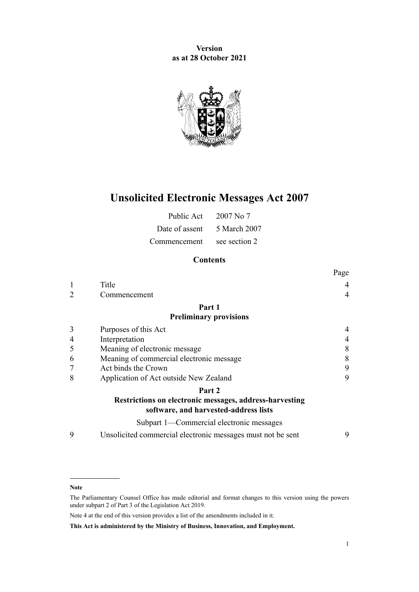**Version as at 28 October 2021**



# **Unsolicited Electronic Messages Act 2007**

| Public Act     | $2007$ No $7$ |
|----------------|---------------|
| Date of assent | 5 March 2007  |
| Commencement   | see section 2 |

# **Contents**

|   |                                                                                                  | Page |
|---|--------------------------------------------------------------------------------------------------|------|
|   | Title                                                                                            |      |
|   | Commencement                                                                                     | 4    |
|   | Part 1                                                                                           |      |
|   | <b>Preliminary provisions</b>                                                                    |      |
| 3 | Purposes of this Act                                                                             |      |
| 4 | Interpretation                                                                                   |      |
| 5 | Meaning of electronic message                                                                    | 8    |
| 6 | Meaning of commercial electronic message                                                         | 8    |
| 7 | Act binds the Crown                                                                              | 9    |
| 8 | Application of Act outside New Zealand                                                           | 9    |
|   | Part 2                                                                                           |      |
|   | Restrictions on electronic messages, address-harvesting<br>software, and harvested-address lists |      |
|   | Subpart 1—Commercial electronic messages                                                         |      |
| 9 | Unsolicited commercial electronic messages must not be sent                                      | 9    |

**Note**

The Parliamentary Counsel Office has made editorial and format changes to this version using the powers under [subpart 2](http://legislation.govt.nz/pdflink.aspx?id=DLM7298371) of Part 3 of the Legislation Act 2019.

Note 4 at the end of this version provides a list of the amendments included in it.

**This Act is administered by the Ministry of Business, Innovation, and Employment.**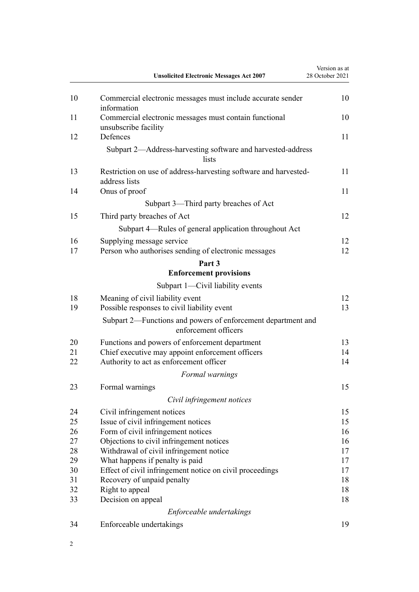|          | <b>Unsolicited Electronic Messages Act 2007</b>                                      | Version as at<br>28 October 2021 |
|----------|--------------------------------------------------------------------------------------|----------------------------------|
| 10       | Commercial electronic messages must include accurate sender<br>information           | 10                               |
| 11       | Commercial electronic messages must contain functional<br>unsubscribe facility       | 10                               |
| 12       | Defences                                                                             | 11                               |
|          | Subpart 2-Address-harvesting software and harvested-address<br>lists                 |                                  |
| 13       | Restriction on use of address-harvesting software and harvested-<br>address lists    | 11                               |
| 14       | Onus of proof                                                                        | 11                               |
|          | Subpart 3—Third party breaches of Act                                                |                                  |
| 15       | Third party breaches of Act                                                          | 12                               |
|          | Subpart 4—Rules of general application throughout Act                                |                                  |
| 16<br>17 | Supplying message service<br>Person who authorises sending of electronic messages    | 12<br>12                         |
|          | Part 3                                                                               |                                  |
|          | <b>Enforcement provisions</b>                                                        |                                  |
|          | Subpart 1—Civil liability events                                                     |                                  |
| 18<br>19 | Meaning of civil liability event<br>Possible responses to civil liability event      | 12<br>13                         |
|          | Subpart 2—Functions and powers of enforcement department and<br>enforcement officers |                                  |
| 20       | Functions and powers of enforcement department                                       | 13                               |
| 21       | Chief executive may appoint enforcement officers                                     | 14                               |
| 22       | Authority to act as enforcement officer                                              | 14                               |
|          | Formal warnings                                                                      |                                  |
| 23       | Formal warnings                                                                      | 15                               |
|          | Civil infringement notices                                                           |                                  |
| 24       | Civil infringement notices                                                           | 15                               |
| 25       | Issue of civil infringement notices                                                  | 15                               |
| 26       | Form of civil infringement notices                                                   | 16                               |
| 27       | Objections to civil infringement notices                                             | 16                               |
| 28       | Withdrawal of civil infringement notice                                              | 17                               |
| 29       | What happens if penalty is paid                                                      | 17                               |
| 30       | Effect of civil infringement notice on civil proceedings                             | 17                               |
| 31       | Recovery of unpaid penalty                                                           | 18                               |
| 32       | Right to appeal                                                                      | 18                               |
| 33       | Decision on appeal                                                                   | 18                               |
|          | Enforceable undertakings                                                             |                                  |
| 34       | Enforceable undertakings                                                             | 19                               |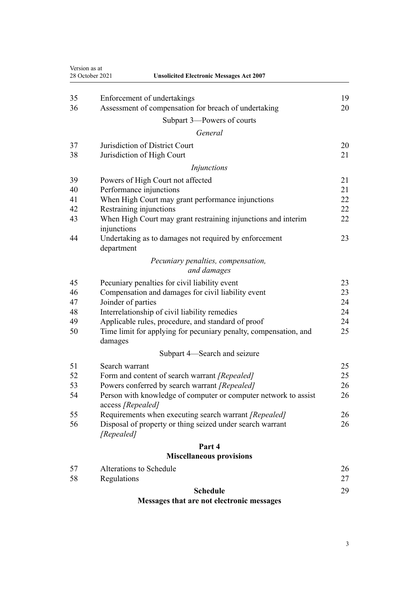| Version as at<br>28 October 2021<br><b>Unsolicited Electronic Messages Act 2007</b> |                                                                                      |    |
|-------------------------------------------------------------------------------------|--------------------------------------------------------------------------------------|----|
| 35                                                                                  | Enforcement of undertakings                                                          | 19 |
| 36                                                                                  | Assessment of compensation for breach of undertaking                                 | 20 |
|                                                                                     | Subpart 3-Powers of courts                                                           |    |
|                                                                                     | General                                                                              |    |
| 37                                                                                  | Jurisdiction of District Court                                                       | 20 |
| 38                                                                                  | Jurisdiction of High Court                                                           | 21 |
|                                                                                     | Injunctions                                                                          |    |
| 39                                                                                  | Powers of High Court not affected                                                    | 21 |
| 40                                                                                  | Performance injunctions                                                              | 21 |
| 41                                                                                  | When High Court may grant performance injunctions                                    | 22 |
| 42                                                                                  | Restraining injunctions                                                              | 22 |
| 43                                                                                  | When High Court may grant restraining injunctions and interim<br>injunctions         | 22 |
| 44                                                                                  | Undertaking as to damages not required by enforcement<br>department                  | 23 |
|                                                                                     | Pecuniary penalties, compensation,<br>and damages                                    |    |
| 45                                                                                  | Pecuniary penalties for civil liability event                                        | 23 |
| 46                                                                                  | Compensation and damages for civil liability event                                   | 23 |
| 47                                                                                  | Joinder of parties                                                                   | 24 |
| 48                                                                                  | Interrelationship of civil liability remedies                                        | 24 |
| 49                                                                                  | Applicable rules, procedure, and standard of proof                                   | 24 |
| 50                                                                                  | Time limit for applying for pecuniary penalty, compensation, and<br>damages          | 25 |
|                                                                                     | Subpart 4-Search and seizure                                                         |    |
| 51                                                                                  | Search warrant                                                                       | 25 |
| 52                                                                                  | Form and content of search warrant [Repealed]                                        | 25 |
| 53                                                                                  | Powers conferred by search warrant [Repealed]                                        | 26 |
| 54                                                                                  | Person with knowledge of computer or computer network to assist<br>access [Repealed] | 26 |
| 55                                                                                  | Requirements when executing search warrant [Repealed]                                | 26 |
| 56                                                                                  | Disposal of property or thing seized under search warrant<br>[Repealed]              | 26 |
|                                                                                     | Part 4                                                                               |    |
|                                                                                     | <b>Miscellaneous provisions</b>                                                      |    |
| 57                                                                                  | Alterations to Schedule                                                              | 26 |
| 58                                                                                  | Regulations                                                                          | 27 |
|                                                                                     | <b>Schedule</b>                                                                      | 29 |

# **[Messages that are not electronic messages](#page-28-0)**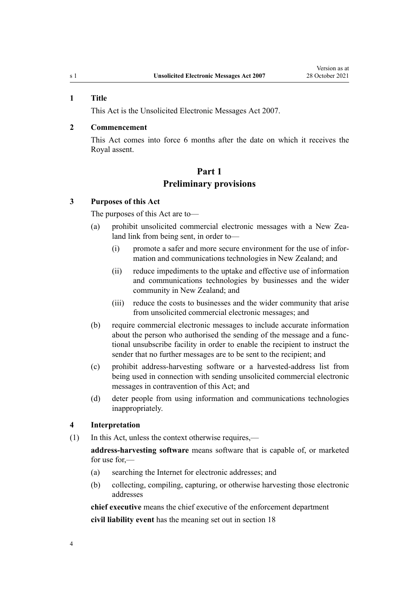#### <span id="page-3-0"></span>**1 Title**

This Act is the Unsolicited Electronic Messages Act 2007.

# **2 Commencement**

This Act comes into force 6 months after the date on which it receives the Royal assent.

# **Part 1**

# **Preliminary provisions**

#### **3 Purposes of this Act**

The purposes of this Act are to—

- (a) prohibit unsolicited commercial electronic messages with a New Zealand link from being sent, in order to—
	- (i) promote a safer and more secure environment for the use of infor‐ mation and communications technologies in New Zealand; and
	- (ii) reduce impediments to the uptake and effective use of information and communications technologies by businesses and the wider community in New Zealand; and
	- (iii) reduce the costs to businesses and the wider community that arise from unsolicited commercial electronic messages; and
- (b) require commercial electronic messages to include accurate information about the person who authorised the sending of the message and a func‐ tional unsubscribe facility in order to enable the recipient to instruct the sender that no further messages are to be sent to the recipient; and
- (c) prohibit address-harvesting software or a harvested-address list from being used in connection with sending unsolicited commercial electronic messages in contravention of this Act; and
- (d) deter people from using information and communications technologies inappropriately.

#### **4 Interpretation**

(1) In this Act, unless the context otherwise requires,—

**address-harvesting software** means software that is capable of, or marketed for use for,—

- (a) searching the Internet for electronic addresses; and
- (b) collecting, compiling, capturing, or otherwise harvesting those electronic addresses

**chief executive** means the chief executive of the enforcement department **civil liability event** has the meaning set out in [section 18](#page-11-0)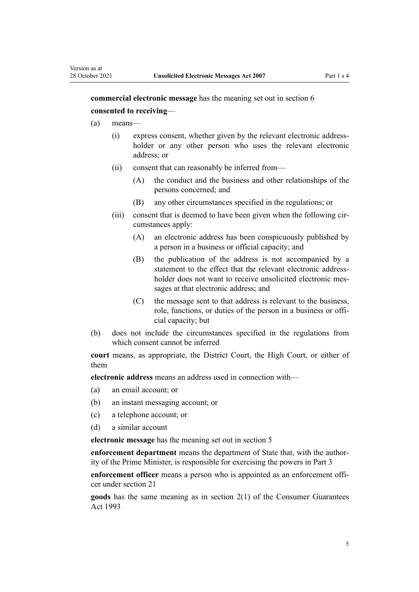**commercial electronic message** has the meaning set out in [section 6](#page-7-0) **consented to receiving**—

- (a) means—
	- (i) express consent, whether given by the relevant electronic addressholder or any other person who uses the relevant electronic address; or
	- (ii) consent that can reasonably be inferred from—
		- (A) the conduct and the business and other relationships of the persons concerned; and
		- (B) any other circumstances specified in the regulations; or
	- (iii) consent that is deemed to have been given when the following circumstances apply:
		- (A) an electronic address has been conspicuously published by a person in a business or official capacity; and
		- (B) the publication of the address is not accompanied by a statement to the effect that the relevant electronic addressholder does not want to receive unsolicited electronic messages at that electronic address; and
		- (C) the message sent to that address is relevant to the business, role, functions, or duties of the person in a business or official capacity; but
- (b) does not include the circumstances specified in the regulations from which consent cannot be inferred

**court** means, as appropriate, the District Court, the High Court, or either of them

**electronic address** means an address used in connection with—

- (a) an email account; or
- (b) an instant messaging account; or
- (c) a telephone account; or
- (d) a similar account

**electronic message** has the meaning set out in [section 5](#page-7-0)

**enforcement department** means the department of State that, with the author‐ ity of the Prime Minister, is responsible for exercising the powers in [Part 3](#page-11-0)

**enforcement officer** means a person who is appointed as an enforcement officer under [section 21](#page-13-0)

**goods** has the same meaning as in [section 2\(1\)](http://legislation.govt.nz/pdflink.aspx?id=DLM311058) of the Consumer Guarantees Act 1993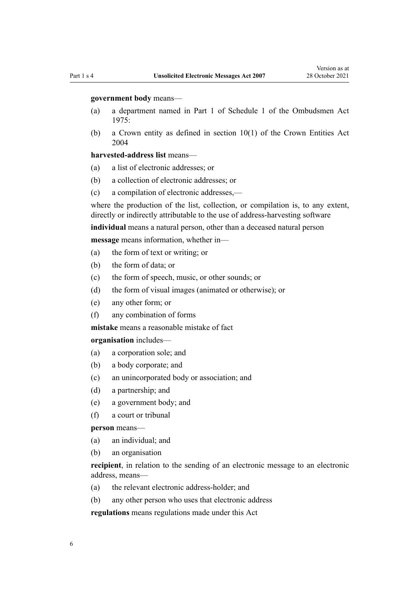#### **government body** means—

- (a) a department named in [Part 1](http://legislation.govt.nz/pdflink.aspx?id=DLM431205) of Schedule 1 of the Ombudsmen Act 1975:
- (b) a Crown entity as defined in [section 10\(1\)](http://legislation.govt.nz/pdflink.aspx?id=DLM329649) of the Crown Entities Act 2004

#### **harvested-address list** means—

- (a) a list of electronic addresses; or
- (b) a collection of electronic addresses; or
- (c) a compilation of electronic addresses,—

where the production of the list, collection, or compilation is, to any extent, directly or indirectly attributable to the use of address-harvesting software

**individual** means a natural person, other than a deceased natural person

**message** means information, whether in—

- (a) the form of text or writing; or
- (b) the form of data; or
- (c) the form of speech, music, or other sounds; or
- (d) the form of visual images (animated or otherwise); or
- (e) any other form; or
- (f) any combination of forms

**mistake** means a reasonable mistake of fact

**organisation** includes—

- (a) a corporation sole; and
- (b) a body corporate; and
- (c) an unincorporated body or association; and
- (d) a partnership; and
- (e) a government body; and
- (f) a court or tribunal

**person** means—

- (a) an individual; and
- (b) an organisation

**recipient**, in relation to the sending of an electronic message to an electronic address, means—

- (a) the relevant electronic address-holder; and
- (b) any other person who uses that electronic address

**regulations** means regulations made under this Act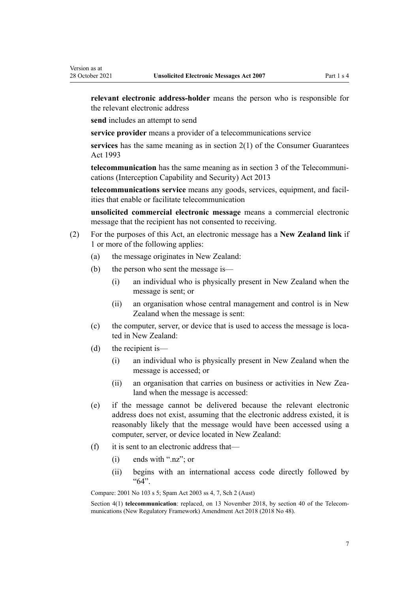**relevant electronic address-holder** means the person who is responsible for the relevant electronic address

**send** includes an attempt to send

**service provider** means a provider of a telecommunications service

**services** has the same meaning as in [section 2\(1\)](http://legislation.govt.nz/pdflink.aspx?id=DLM311058) of the Consumer Guarantees Act 1993

**telecommunication** has the same meaning as in [section 3](http://legislation.govt.nz/pdflink.aspx?id=DLM5177930) of the Telecommuni‐ cations (Interception Capability and Security) Act 2013

**telecommunications service** means any goods, services, equipment, and facil‐ ities that enable or facilitate telecommunication

**unsolicited commercial electronic message** means a commercial electronic message that the recipient has not consented to receiving.

- (2) For the purposes of this Act, an electronic message has a **New Zealand link** if 1 or more of the following applies:
	- (a) the message originates in New Zealand:
	- (b) the person who sent the message is—
		- (i) an individual who is physically present in New Zealand when the message is sent; or
		- (ii) an organisation whose central management and control is in New Zealand when the message is sent:
	- (c) the computer, server, or device that is used to access the message is located in New Zealand:
	- (d) the recipient is—
		- (i) an individual who is physically present in New Zealand when the message is accessed; or
		- (ii) an organisation that carries on business or activities in New Zealand when the message is accessed:
	- (e) if the message cannot be delivered because the relevant electronic address does not exist, assuming that the electronic address existed, it is reasonably likely that the message would have been accessed using a computer, server, or device located in New Zealand:
	- (f) it is sent to an electronic address that—
		- (i) ends with ".nz"; or
		- (ii) begins with an international access code directly followed by "64".

Compare: 2001 No 103 [s 5](http://legislation.govt.nz/pdflink.aspx?id=DLM124974); Spam Act 2003 ss 4, 7, Sch 2 (Aust)

Section 4(1) **telecommunication**: replaced, on 13 November 2018, by [section 40](http://legislation.govt.nz/pdflink.aspx?id=LMS111659) of the Telecommunications (New Regulatory Framework) Amendment Act 2018 (2018 No 48).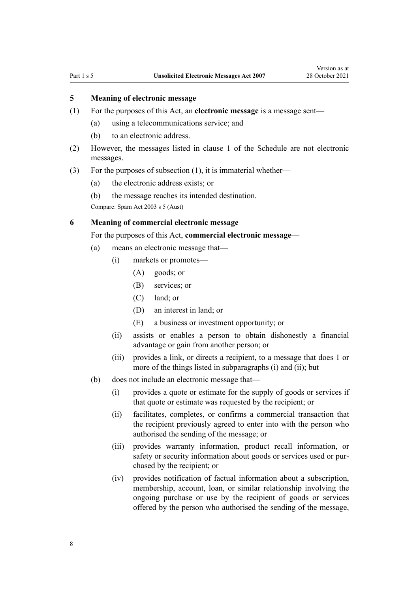# <span id="page-7-0"></span>**5 Meaning of electronic message**

- (1) For the purposes of this Act, an **electronic message** is a message sent—
	- (a) using a telecommunications service; and
	- (b) to an electronic address.
- (2) However, the messages listed in [clause 1](#page-28-0) of the Schedule are not electronic messages.
- (3) For the purposes of subsection (1), it is immaterial whether—
	- (a) the electronic address exists; or
	- (b) the message reaches its intended destination.

Compare: Spam Act 2003 s 5 (Aust)

# **6 Meaning of commercial electronic message**

For the purposes of this Act, **commercial electronic message**—

- (a) means an electronic message that—
	- (i) markets or promotes—
		- (A) goods; or
		- (B) services; or
		- (C) land; or
		- (D) an interest in land; or
		- (E) a business or investment opportunity; or
	- (ii) assists or enables a person to obtain dishonestly a financial advantage or gain from another person; or
	- (iii) provides a link, or directs a recipient, to a message that does 1 or more of the things listed in subparagraphs (i) and (ii); but
- (b) does not include an electronic message that—
	- (i) provides a quote or estimate for the supply of goods or services if that quote or estimate was requested by the recipient; or
	- (ii) facilitates, completes, or confirms a commercial transaction that the recipient previously agreed to enter into with the person who authorised the sending of the message; or
	- (iii) provides warranty information, product recall information, or safety or security information about goods or services used or purchased by the recipient; or
	- (iv) provides notification of factual information about a subscription, membership, account, loan, or similar relationship involving the ongoing purchase or use by the recipient of goods or services offered by the person who authorised the sending of the message,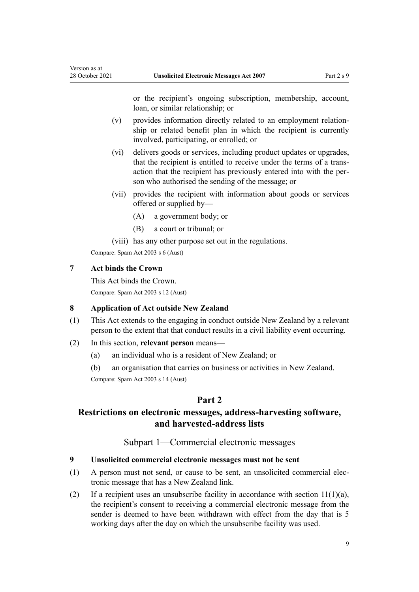or the recipient's ongoing subscription, membership, account, loan, or similar relationship; or

- <span id="page-8-0"></span>(v) provides information directly related to an employment relation‐ ship or related benefit plan in which the recipient is currently involved, participating, or enrolled; or
- (vi) delivers goods or services, including product updates or upgrades, that the recipient is entitled to receive under the terms of a trans‐ action that the recipient has previously entered into with the per‐ son who authorised the sending of the message; or
- (vii) provides the recipient with information about goods or services offered or supplied by—
	- (A) a government body; or
	- (B) a court or tribunal; or

(viii) has any other purpose set out in the regulations.

Compare: Spam Act 2003 s 6 (Aust)

# **7 Act binds the Crown**

This Act binds the Crown.

Compare: Spam Act 2003 s 12 (Aust)

# **8 Application of Act outside New Zealand**

- (1) This Act extends to the engaging in conduct outside New Zealand by a relevant person to the extent that that conduct results in a civil liability event occurring.
- (2) In this section, **relevant person** means—
	- (a) an individual who is a resident of New Zealand; or
	- (b) an organisation that carries on business or activities in New Zealand.

Compare: Spam Act 2003 s 14 (Aust)

# **Part 2**

# **Restrictions on electronic messages, address-harvesting software, and harvested-address lists**

# Subpart 1—Commercial electronic messages

### **9 Unsolicited commercial electronic messages must not be sent**

- (1) A person must not send, or cause to be sent, an unsolicited commercial elec‐ tronic message that has a New Zealand link.
- (2) If a recipient uses an unsubscribe facility in accordance with section  $11(1)(a)$ , the recipient's consent to receiving a commercial electronic message from the sender is deemed to have been withdrawn with effect from the day that is 5 working days after the day on which the unsubscribe facility was used.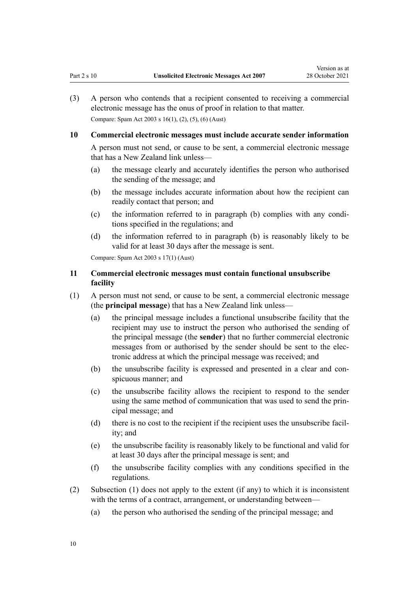- <span id="page-9-0"></span>(3) A person who contends that a recipient consented to receiving a commercial electronic message has the onus of proof in relation to that matter. Compare: Spam Act 2003 s 16(1), (2), (5), (6) (Aust)
- **10 Commercial electronic messages must include accurate sender information**

A person must not send, or cause to be sent, a commercial electronic message that has a New Zealand link unless—

- (a) the message clearly and accurately identifies the person who authorised the sending of the message; and
- (b) the message includes accurate information about how the recipient can readily contact that person; and
- (c) the information referred to in paragraph (b) complies with any condi‐ tions specified in the regulations; and
- (d) the information referred to in paragraph (b) is reasonably likely to be valid for at least 30 days after the message is sent.

Compare: Spam Act 2003 s 17(1) (Aust)

# **11 Commercial electronic messages must contain functional unsubscribe facility**

- (1) A person must not send, or cause to be sent, a commercial electronic message (the **principal message**) that has a New Zealand link unless—
	- (a) the principal message includes a functional unsubscribe facility that the recipient may use to instruct the person who authorised the sending of the principal message (the **sender**) that no further commercial electronic messages from or authorised by the sender should be sent to the elec‐ tronic address at which the principal message was received; and
	- (b) the unsubscribe facility is expressed and presented in a clear and conspicuous manner; and
	- (c) the unsubscribe facility allows the recipient to respond to the sender using the same method of communication that was used to send the prin‐ cipal message; and
	- (d) there is no cost to the recipient if the recipient uses the unsubscribe facil– ity; and
	- (e) the unsubscribe facility is reasonably likely to be functional and valid for at least 30 days after the principal message is sent; and
	- (f) the unsubscribe facility complies with any conditions specified in the regulations.
- (2) Subsection (1) does not apply to the extent (if any) to which it is inconsistent with the terms of a contract, arrangement, or understanding between—
	- (a) the person who authorised the sending of the principal message; and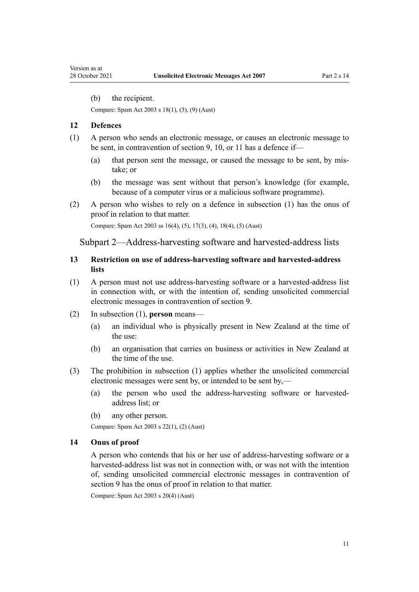<span id="page-10-0"></span>(b) the recipient.

Compare: Spam Act 2003 s 18(1), (3), (9) (Aust)

#### **12 Defences**

- (1) A person who sends an electronic message, or causes an electronic message to be sent, in contravention of [section 9,](#page-8-0) [10](#page-9-0), or [11](#page-9-0) has a defence if—
	- (a) that person sent the message, or caused the message to be sent, by mistake; or
	- (b) the message was sent without that person's knowledge (for example, because of a computer virus or a malicious software programme).
- (2) A person who wishes to rely on a defence in subsection (1) has the onus of proof in relation to that matter.

Compare: Spam Act 2003 ss 16(4), (5), 17(3), (4), 18(4), (5) (Aust)

Subpart 2—Address-harvesting software and harvested-address lists

# **13 Restriction on use of address-harvesting software and harvested-address lists**

- (1) A person must not use address-harvesting software or a harvested-address list in connection with, or with the intention of, sending unsolicited commercial electronic messages in contravention of [section 9](#page-8-0).
- (2) In subsection (1), **person** means—
	- (a) an individual who is physically present in New Zealand at the time of the use:
	- (b) an organisation that carries on business or activities in New Zealand at the time of the use.
- (3) The prohibition in subsection (1) applies whether the unsolicited commercial electronic messages were sent by, or intended to be sent by,—
	- (a) the person who used the address-harvesting software or harvestedaddress list; or
	- (b) any other person.

Compare: Spam Act 2003 s 22(1), (2) (Aust)

## **14 Onus of proof**

A person who contends that his or her use of address-harvesting software or a harvested-address list was not in connection with, or was not with the intention of, sending unsolicited commercial electronic messages in contravention of [section 9](#page-8-0) has the onus of proof in relation to that matter.

Compare: Spam Act 2003 s 20(4) (Aust)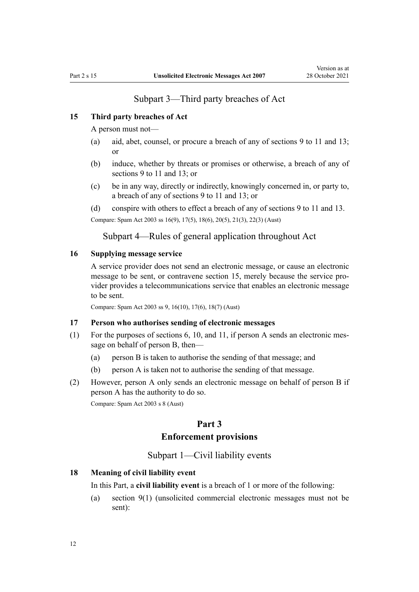# Subpart 3—Third party breaches of Act

# <span id="page-11-0"></span>**15 Third party breaches of Act**

A person must not—

- (a) aid, abet, counsel, or procure a breach of any of [sections 9 to 11](#page-8-0) and [13;](#page-10-0) or
- (b) induce, whether by threats or promises or otherwise, a breach of any of [sections 9 to 11](#page-8-0) and [13;](#page-10-0) or
- (c) be in any way, directly or indirectly, knowingly concerned in, or party to, a breach of any of [sections 9 to 11](#page-8-0) and [13](#page-10-0); or

(d) conspire with others to effect a breach of any of [sections 9 to 11](#page-8-0) and [13](#page-10-0).

Compare: Spam Act 2003 ss 16(9), 17(5), 18(6), 20(5), 21(3), 22(3) (Aust)

Subpart 4—Rules of general application throughout Act

#### **16 Supplying message service**

A service provider does not send an electronic message, or cause an electronic message to be sent, or contravene section 15, merely because the service provider provides a telecommunications service that enables an electronic message to be sent.

Compare: Spam Act 2003 ss 9, 16(10), 17(6), 18(7) (Aust)

## **17 Person who authorises sending of electronic messages**

- (1) For the purposes of sections  $6, 10,$  $6, 10,$  $6, 10,$  and  $11$ , if person A sends an electronic message on behalf of person B, then—
	- (a) person B is taken to authorise the sending of that message; and
	- (b) person A is taken not to authorise the sending of that message.
- (2) However, person A only sends an electronic message on behalf of person B if person A has the authority to do so.

Compare: Spam Act 2003 s 8 (Aust)

# **Part 3 Enforcement provisions**

# Subpart 1—Civil liability events

# **18 Meaning of civil liability event**

In this Part, a **civil liability event** is a breach of 1 or more of the following:

(a) [section 9\(1\)](#page-8-0) (unsolicited commercial electronic messages must not be sent):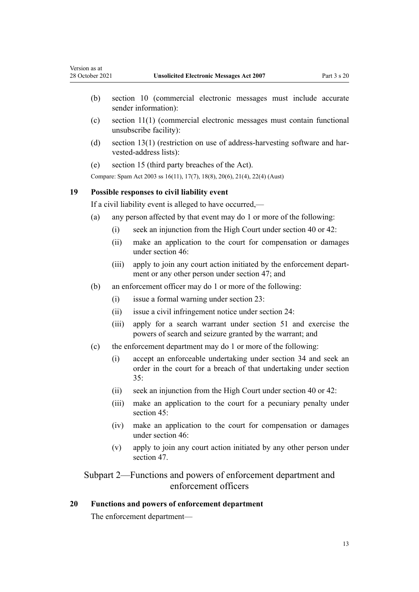- <span id="page-12-0"></span>(b) [section 10](#page-9-0) (commercial electronic messages must include accurate sender information):
- (c) [section 11\(1\)](#page-9-0) (commercial electronic messages must contain functional unsubscribe facility):
- (d) section  $13(1)$  (restriction on use of address-harvesting software and harvested-address lists):
- (e) [section 15](#page-11-0) (third party breaches of the Act).

Compare: Spam Act 2003 ss 16(11), 17(7), 18(8), 20(6), 21(4), 22(4) (Aust)

#### **19 Possible responses to civil liability event**

If a civil liability event is alleged to have occurred,—

- (a) any person affected by that event may do 1 or more of the following:
	- (i) seek an injunction from the High Court under [section 40](#page-20-0) or [42:](#page-21-0)
	- (ii) make an application to the court for compensation or damages under [section 46](#page-22-0):
	- (iii) apply to join any court action initiated by the enforcement depart‐ ment or any other person under [section 47](#page-23-0); and
- (b) an enforcement officer may do 1 or more of the following:
	- (i) issue a formal warning under [section 23](#page-14-0):
	- (ii) issue a civil infringement notice under [section 24:](#page-14-0)
	- (iii) apply for a search warrant under [section 51](#page-24-0) and exercise the powers of search and seizure granted by the warrant; and
- (c) the enforcement department may do 1 or more of the following:
	- (i) accept an enforceable undertaking under [section 34](#page-18-0) and seek an order in the court for a breach of that undertaking under [section](#page-18-0) [35:](#page-18-0)
	- (ii) seek an injunction from the High Court under [section 40](#page-20-0) or [42:](#page-21-0)
	- (iii) make an application to the court for a pecuniary penalty under [section 45](#page-22-0):
	- (iv) make an application to the court for compensation or damages under [section 46](#page-22-0):
	- (v) apply to join any court action initiated by any other person under [section 47](#page-23-0).

# Subpart 2—Functions and powers of enforcement department and enforcement officers

# **20 Functions and powers of enforcement department**

The enforcement department—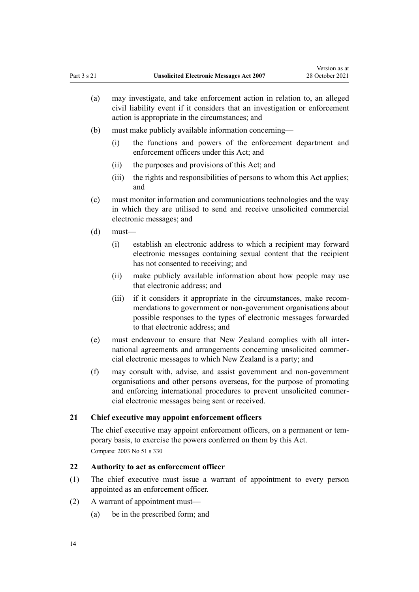- <span id="page-13-0"></span>(a) may investigate, and take enforcement action in relation to, an alleged civil liability event if it considers that an investigation or enforcement action is appropriate in the circumstances; and
- (b) must make publicly available information concerning—
	- (i) the functions and powers of the enforcement department and enforcement officers under this Act; and
	- (ii) the purposes and provisions of this Act; and
	- (iii) the rights and responsibilities of persons to whom this Act applies; and
- (c) must monitor information and communications technologies and the way in which they are utilised to send and receive unsolicited commercial electronic messages; and
- (d) must—
	- (i) establish an electronic address to which a recipient may forward electronic messages containing sexual content that the recipient has not consented to receiving; and
	- (ii) make publicly available information about how people may use that electronic address; and
	- (iii) if it considers it appropriate in the circumstances, make recommendations to government or non-government organisations about possible responses to the types of electronic messages forwarded to that electronic address; and
- (e) must endeavour to ensure that New Zealand complies with all inter‐ national agreements and arrangements concerning unsolicited commer‐ cial electronic messages to which New Zealand is a party; and
- (f) may consult with, advise, and assist government and non-government organisations and other persons overseas, for the purpose of promoting and enforcing international procedures to prevent unsolicited commer‐ cial electronic messages being sent or received.

#### **21 Chief executive may appoint enforcement officers**

The chief executive may appoint enforcement officers, on a permanent or temporary basis, to exercise the powers conferred on them by this Act. Compare: 2003 No 51 [s 330](http://legislation.govt.nz/pdflink.aspx?id=DLM210278)

# **22 Authority to act as enforcement officer**

- (1) The chief executive must issue a warrant of appointment to every person appointed as an enforcement officer.
- (2) A warrant of appointment must—
	- (a) be in the prescribed form; and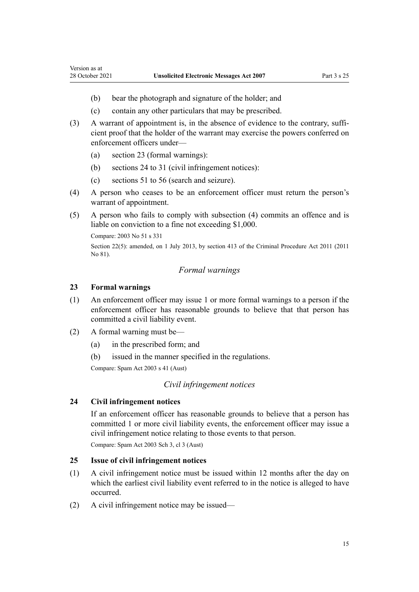- (b) bear the photograph and signature of the holder; and
- (c) contain any other particulars that may be prescribed.
- (3) A warrant of appointment is, in the absence of evidence to the contrary, sufficient proof that the holder of the warrant may exercise the powers conferred on enforcement officers under—
	- (a) section 23 (formal warnings):
	- (b) sections 24 to 31 (civil infringement notices):
	- (c) [sections 51 to 56](#page-24-0) (search and seizure).
- (4) A person who ceases to be an enforcement officer must return the person's warrant of appointment.
- (5) A person who fails to comply with subsection (4) commits an offence and is liable on conviction to a fine not exceeding \$1,000.

Compare: 2003 No 51 [s 331](http://legislation.govt.nz/pdflink.aspx?id=DLM210279)

Section 22(5): amended, on 1 July 2013, by [section 413](http://legislation.govt.nz/pdflink.aspx?id=DLM3360714) of the Criminal Procedure Act 2011 (2011 No 81).

## *Formal warnings*

## **23 Formal warnings**

<span id="page-14-0"></span>Version as at

- (1) An enforcement officer may issue 1 or more formal warnings to a person if the enforcement officer has reasonable grounds to believe that that person has committed a civil liability event.
- (2) A formal warning must be—
	- (a) in the prescribed form; and
	- (b) issued in the manner specified in the regulations.

Compare: Spam Act 2003 s 41 (Aust)

#### *Civil infringement notices*

# **24 Civil infringement notices**

If an enforcement officer has reasonable grounds to believe that a person has committed 1 or more civil liability events, the enforcement officer may issue a civil infringement notice relating to those events to that person.

Compare: Spam Act 2003 Sch 3, cl 3 (Aust)

# **25 Issue of civil infringement notices**

- (1) A civil infringement notice must be issued within 12 months after the day on which the earliest civil liability event referred to in the notice is alleged to have occurred.
- (2) A civil infringement notice may be issued—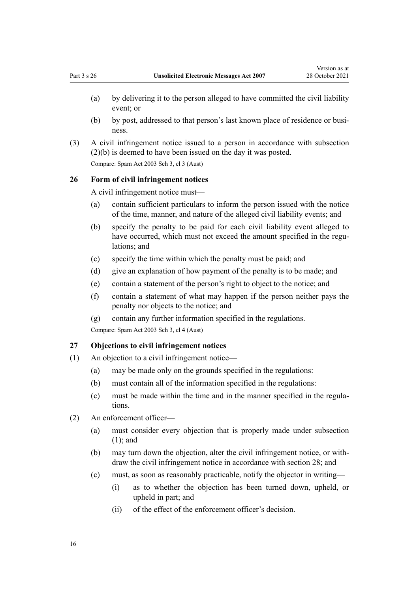- <span id="page-15-0"></span>(a) by delivering it to the person alleged to have committed the civil liability event; or
- (b) by post, addressed to that person's last known place of residence or business.
- (3) A civil infringement notice issued to a person in accordance with subsection (2)(b) is deemed to have been issued on the day it was posted.

Compare: Spam Act 2003 Sch 3, cl 3 (Aust)

# **26 Form of civil infringement notices**

A civil infringement notice must—

- (a) contain sufficient particulars to inform the person issued with the notice of the time, manner, and nature of the alleged civil liability events; and
- (b) specify the penalty to be paid for each civil liability event alleged to have occurred, which must not exceed the amount specified in the regulations; and
- (c) specify the time within which the penalty must be paid; and
- (d) give an explanation of how payment of the penalty is to be made; and
- (e) contain a statement of the person's right to object to the notice; and
- (f) contain a statement of what may happen if the person neither pays the penalty nor objects to the notice; and
- (g) contain any further information specified in the regulations.

Compare: Spam Act 2003 Sch 3, cl 4 (Aust)

#### **27 Objections to civil infringement notices**

- (1) An objection to a civil infringement notice—
	- (a) may be made only on the grounds specified in the regulations:
	- (b) must contain all of the information specified in the regulations:
	- (c) must be made within the time and in the manner specified in the regula‐ tions.
- (2) An enforcement officer—
	- (a) must consider every objection that is properly made under subsection (1); and
	- (b) may turn down the objection, alter the civil infringement notice, or with‐ draw the civil infringement notice in accordance with [section 28](#page-16-0); and
	- (c) must, as soon as reasonably practicable, notify the objector in writing—
		- (i) as to whether the objection has been turned down, upheld, or upheld in part; and
		- (ii) of the effect of the enforcement officer's decision.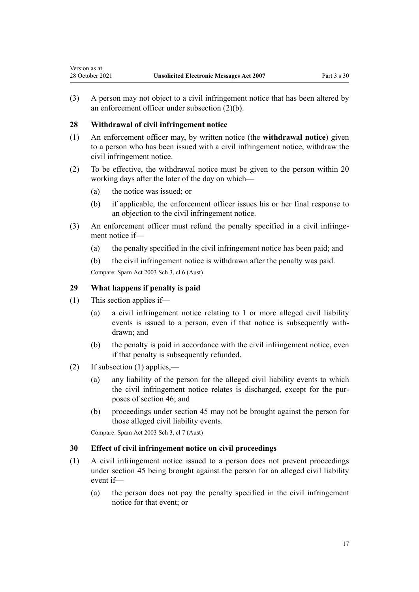(3) A person may not object to a civil infringement notice that has been altered by an enforcement officer under subsection (2)(b).

# **28 Withdrawal of civil infringement notice**

<span id="page-16-0"></span>Version as at

- (1) An enforcement officer may, by written notice (the **withdrawal notice**) given to a person who has been issued with a civil infringement notice, withdraw the civil infringement notice.
- (2) To be effective, the withdrawal notice must be given to the person within 20 working days after the later of the day on which—
	- (a) the notice was issued; or
	- (b) if applicable, the enforcement officer issues his or her final response to an objection to the civil infringement notice.
- (3) An enforcement officer must refund the penalty specified in a civil infringement notice if—
	- (a) the penalty specified in the civil infringement notice has been paid; and

(b) the civil infringement notice is withdrawn after the penalty was paid. Compare: Spam Act 2003 Sch 3, cl 6 (Aust)

# **29 What happens if penalty is paid**

- (1) This section applies if—
	- (a) a civil infringement notice relating to 1 or more alleged civil liability events is issued to a person, even if that notice is subsequently with‐ drawn; and
	- (b) the penalty is paid in accordance with the civil infringement notice, even if that penalty is subsequently refunded.
- (2) If subsection (1) applies,—
	- (a) any liability of the person for the alleged civil liability events to which the civil infringement notice relates is discharged, except for the pur‐ poses of [section 46](#page-22-0); and
	- (b) proceedings under [section 45](#page-22-0) may not be brought against the person for those alleged civil liability events.

Compare: Spam Act 2003 Sch 3, cl 7 (Aust)

# **30 Effect of civil infringement notice on civil proceedings**

- (1) A civil infringement notice issued to a person does not prevent proceedings under [section 45](#page-22-0) being brought against the person for an alleged civil liability event if—
	- (a) the person does not pay the penalty specified in the civil infringement notice for that event; or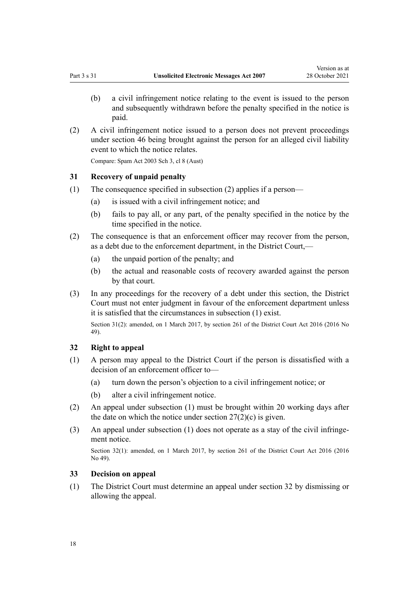- <span id="page-17-0"></span>(b) a civil infringement notice relating to the event is issued to the person and subsequently withdrawn before the penalty specified in the notice is paid.
- (2) A civil infringement notice issued to a person does not prevent proceedings under [section 46](#page-22-0) being brought against the person for an alleged civil liability event to which the notice relates.

Compare: Spam Act 2003 Sch 3, cl 8 (Aust)

# **31 Recovery of unpaid penalty**

- (1) The consequence specified in subsection (2) applies if a person—
	- (a) is issued with a civil infringement notice; and
	- (b) fails to pay all, or any part, of the penalty specified in the notice by the time specified in the notice.
- (2) The consequence is that an enforcement officer may recover from the person, as a debt due to the enforcement department, in the District Court,—
	- (a) the unpaid portion of the penalty; and
	- (b) the actual and reasonable costs of recovery awarded against the person by that court.
- (3) In any proceedings for the recovery of a debt under this section, the District Court must not enter judgment in favour of the enforcement department unless it is satisfied that the circumstances in subsection (1) exist.

Section 31(2): amended, on 1 March 2017, by [section 261](http://legislation.govt.nz/pdflink.aspx?id=DLM6942680) of the District Court Act 2016 (2016 No 49).

#### **32 Right to appeal**

- (1) A person may appeal to the District Court if the person is dissatisfied with a decision of an enforcement officer to—
	- (a) turn down the person's objection to a civil infringement notice; or
	- (b) alter a civil infringement notice.
- (2) An appeal under subsection (1) must be brought within 20 working days after the date on which the notice under section  $27(2)(c)$  is given.
- (3) An appeal under subsection  $(1)$  does not operate as a stay of the civil infringement notice.

Section 32(1): amended, on 1 March 2017, by [section 261](http://legislation.govt.nz/pdflink.aspx?id=DLM6942680) of the District Court Act 2016 (2016) No 49).

# **33 Decision on appeal**

(1) The District Court must determine an appeal under section 32 by dismissing or allowing the appeal.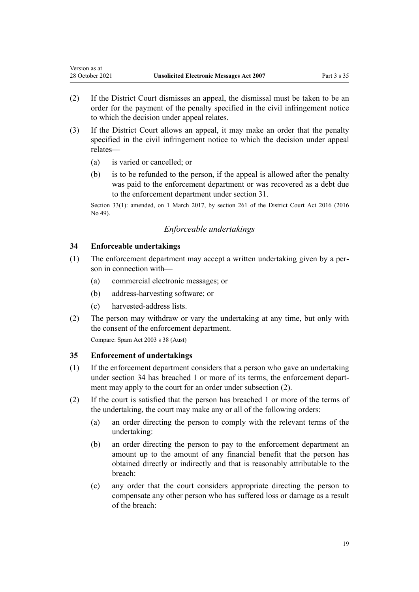- (2) If the District Court dismisses an appeal, the dismissal must be taken to be an order for the payment of the penalty specified in the civil infringement notice to which the decision under appeal relates.
- (3) If the District Court allows an appeal, it may make an order that the penalty specified in the civil infringement notice to which the decision under appeal relates—
	- (a) is varied or cancelled; or

<span id="page-18-0"></span>Version as at

(b) is to be refunded to the person, if the appeal is allowed after the penalty was paid to the enforcement department or was recovered as a debt due to the enforcement department under [section 31.](#page-17-0)

Section 33(1): amended, on 1 March 2017, by [section 261](http://legislation.govt.nz/pdflink.aspx?id=DLM6942680) of the District Court Act 2016 (2016) No 49).

# *Enforceable undertakings*

# **34 Enforceable undertakings**

- (1) The enforcement department may accept a written undertaking given by a per‐ son in connection with—
	- (a) commercial electronic messages; or
	- (b) address-harvesting software; or
	- (c) harvested-address lists.
- (2) The person may withdraw or vary the undertaking at any time, but only with the consent of the enforcement department.

Compare: Spam Act 2003 s 38 (Aust)

# **35 Enforcement of undertakings**

- (1) If the enforcement department considers that a person who gave an undertaking under section 34 has breached 1 or more of its terms, the enforcement department may apply to the court for an order under subsection (2).
- (2) If the court is satisfied that the person has breached 1 or more of the terms of the undertaking, the court may make any or all of the following orders:
	- (a) an order directing the person to comply with the relevant terms of the undertaking:
	- (b) an order directing the person to pay to the enforcement department an amount up to the amount of any financial benefit that the person has obtained directly or indirectly and that is reasonably attributable to the breach:
	- (c) any order that the court considers appropriate directing the person to compensate any other person who has suffered loss or damage as a result of the breach: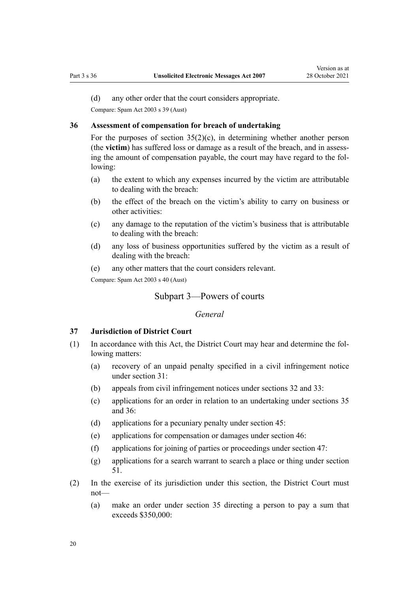<span id="page-19-0"></span>(d) any other order that the court considers appropriate.

Compare: Spam Act 2003 s 39 (Aust)

#### **36 Assessment of compensation for breach of undertaking**

For the purposes of section  $35(2)(c)$ , in determining whether another person (the **victim**) has suffered loss or damage as a result of the breach, and in assess‐ ing the amount of compensation payable, the court may have regard to the following:

- (a) the extent to which any expenses incurred by the victim are attributable to dealing with the breach:
- (b) the effect of the breach on the victim's ability to carry on business or other activities:
- (c) any damage to the reputation of the victim's business that is attributable to dealing with the breach:
- (d) any loss of business opportunities suffered by the victim as a result of dealing with the breach:
- (e) any other matters that the court considers relevant.

Compare: Spam Act 2003 s 40 (Aust)

# Subpart 3—Powers of courts

## *General*

## **37 Jurisdiction of District Court**

- (1) In accordance with this Act, the District Court may hear and determine the fol‐ lowing matters:
	- (a) recovery of an unpaid penalty specified in a civil infringement notice under [section 31](#page-17-0):
	- (b) appeals from civil infringement notices under [sections 32](#page-17-0) and [33](#page-17-0):
	- (c) applications for an order in relation to an undertaking under [sections 35](#page-18-0) and 36:
	- (d) applications for a pecuniary penalty under [section 45:](#page-22-0)
	- (e) applications for compensation or damages under [section 46](#page-22-0):
	- (f) applications for joining of parties or proceedings under [section 47](#page-23-0):
	- (g) applications for a search warrant to search a place or thing under [section](#page-24-0) [51.](#page-24-0)
- (2) In the exercise of its jurisdiction under this section, the District Court must not—
	- (a) make an order under [section 35](#page-18-0) directing a person to pay a sum that exceeds \$350,000: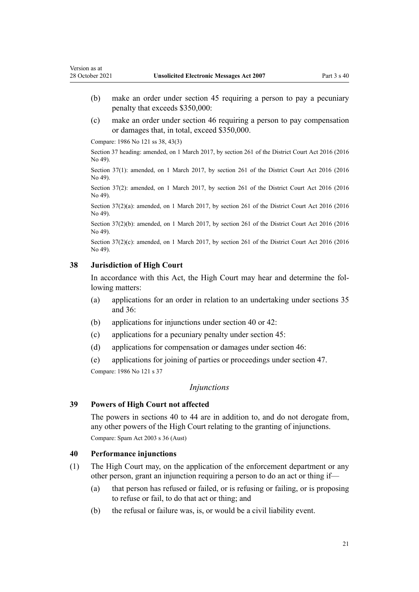- <span id="page-20-0"></span>(b) make an order under [section 45](#page-22-0) requiring a person to pay a pecuniary penalty that exceeds \$350,000:
- (c) make an order under [section 46](#page-22-0) requiring a person to pay compensation or damages that, in total, exceed \$350,000.

Compare: 1986 No 121 [ss 38](http://legislation.govt.nz/pdflink.aspx?id=DLM96984), [43\(3\)](http://legislation.govt.nz/pdflink.aspx?id=DLM97304)

Section 37 heading: amended, on 1 March 2017, by [section 261](http://legislation.govt.nz/pdflink.aspx?id=DLM6942680) of the District Court Act 2016 (2016 No 49).

Section 37(1): amended, on 1 March 2017, by [section 261](http://legislation.govt.nz/pdflink.aspx?id=DLM6942680) of the District Court Act 2016 (2016 No 49).

Section 37(2): amended, on 1 March 2017, by [section 261](http://legislation.govt.nz/pdflink.aspx?id=DLM6942680) of the District Court Act 2016 (2016 No 49).

Section 37(2)(a): amended, on 1 March 2017, by [section 261](http://legislation.govt.nz/pdflink.aspx?id=DLM6942680) of the District Court Act 2016 (2016 No 49).

Section 37(2)(b): amended, on 1 March 2017, by [section 261](http://legislation.govt.nz/pdflink.aspx?id=DLM6942680) of the District Court Act 2016 (2016 No 49).

Section 37(2)(c): amended, on 1 March 2017, by [section 261](http://legislation.govt.nz/pdflink.aspx?id=DLM6942680) of the District Court Act 2016 (2016) No 49).

# **38 Jurisdiction of High Court**

In accordance with this Act, the High Court may hear and determine the following matters:

- (a) applications for an order in relation to an undertaking under [sections 35](#page-18-0) and [36](#page-19-0):
- (b) applications for injunctions under section 40 or [42:](#page-21-0)
- (c) applications for a pecuniary penalty under [section 45:](#page-22-0)
- (d) applications for compensation or damages under [section 46](#page-22-0):

(e) applications for joining of parties or proceedings under [section 47](#page-23-0). Compare: 1986 No 121 [s 37](http://legislation.govt.nz/pdflink.aspx?id=DLM96981)

#### *Injunctions*

# **39 Powers of High Court not affected**

The powers in sections 40 to 44 are in addition to, and do not derogate from, any other powers of the High Court relating to the granting of injunctions. Compare: Spam Act 2003 s 36 (Aust)

#### **40 Performance injunctions**

- (1) The High Court may, on the application of the enforcement department or any other person, grant an injunction requiring a person to do an act or thing if—
	- (a) that person has refused or failed, or is refusing or failing, or is proposing to refuse or fail, to do that act or thing; and
	- (b) the refusal or failure was, is, or would be a civil liability event.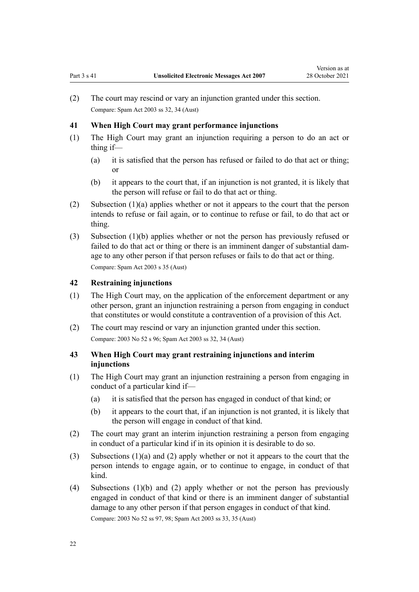<span id="page-21-0"></span>(2) The court may rescind or vary an injunction granted under this section. Compare: Spam Act 2003 ss 32, 34 (Aust)

## **41 When High Court may grant performance injunctions**

- (1) The High Court may grant an injunction requiring a person to do an act or thing if—
	- (a) it is satisfied that the person has refused or failed to do that act or thing; or
	- (b) it appears to the court that, if an injunction is not granted, it is likely that the person will refuse or fail to do that act or thing.
- (2) Subsection (1)(a) applies whether or not it appears to the court that the person intends to refuse or fail again, or to continue to refuse or fail, to do that act or thing.
- (3) Subsection (1)(b) applies whether or not the person has previously refused or failed to do that act or thing or there is an imminent danger of substantial damage to any other person if that person refuses or fails to do that act or thing. Compare: Spam Act 2003 s 35 (Aust)

#### **42 Restraining injunctions**

- (1) The High Court may, on the application of the enforcement department or any other person, grant an injunction restraining a person from engaging in conduct that constitutes or would constitute a contravention of a provision of this Act.
- (2) The court may rescind or vary an injunction granted under this section. Compare: 2003 No 52 [s 96](http://legislation.govt.nz/pdflink.aspx?id=DLM213176); Spam Act 2003 ss 32, 34 (Aust)

# **43 When High Court may grant restraining injunctions and interim injunctions**

- (1) The High Court may grant an injunction restraining a person from engaging in conduct of a particular kind if—
	- (a) it is satisfied that the person has engaged in conduct of that kind; or
	- (b) it appears to the court that, if an injunction is not granted, it is likely that the person will engage in conduct of that kind.
- (2) The court may grant an interim injunction restraining a person from engaging in conduct of a particular kind if in its opinion it is desirable to do so.
- (3) Subsections (1)(a) and (2) apply whether or not it appears to the court that the person intends to engage again, or to continue to engage, in conduct of that kind.
- (4) Subsections (1)(b) and (2) apply whether or not the person has previously engaged in conduct of that kind or there is an imminent danger of substantial damage to any other person if that person engages in conduct of that kind.

Compare: 2003 No 52 [ss 97,](http://legislation.govt.nz/pdflink.aspx?id=DLM213177) [98](http://legislation.govt.nz/pdflink.aspx?id=DLM213178); Spam Act 2003 ss 33, 35 (Aust)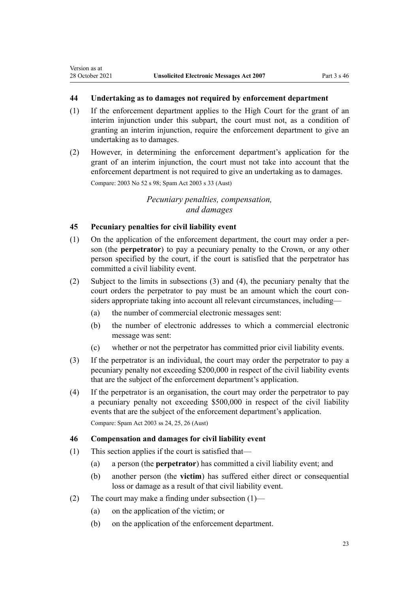# <span id="page-22-0"></span>**44 Undertaking as to damages not required by enforcement department**

- (1) If the enforcement department applies to the High Court for the grant of an interim injunction under this subpart, the court must not, as a condition of granting an interim injunction, require the enforcement department to give an undertaking as to damages.
- (2) However, in determining the enforcement department's application for the grant of an interim injunction, the court must not take into account that the enforcement department is not required to give an undertaking as to damages.

Compare: 2003 No 52 [s 98](http://legislation.govt.nz/pdflink.aspx?id=DLM213178); Spam Act 2003 s 33 (Aust)

# *Pecuniary penalties, compensation, and damages*

# **45 Pecuniary penalties for civil liability event**

- (1) On the application of the enforcement department, the court may order a per‐ son (the **perpetrator**) to pay a pecuniary penalty to the Crown, or any other person specified by the court, if the court is satisfied that the perpetrator has committed a civil liability event.
- (2) Subject to the limits in subsections (3) and (4), the pecuniary penalty that the court orders the perpetrator to pay must be an amount which the court considers appropriate taking into account all relevant circumstances, including—
	- (a) the number of commercial electronic messages sent:
	- (b) the number of electronic addresses to which a commercial electronic message was sent:
	- (c) whether or not the perpetrator has committed prior civil liability events.
- (3) If the perpetrator is an individual, the court may order the perpetrator to pay a pecuniary penalty not exceeding \$200,000 in respect of the civil liability events that are the subject of the enforcement department's application.
- (4) If the perpetrator is an organisation, the court may order the perpetrator to pay a pecuniary penalty not exceeding \$500,000 in respect of the civil liability events that are the subject of the enforcement department's application. Compare: Spam Act 2003 ss 24, 25, 26 (Aust)

# **46 Compensation and damages for civil liability event**

- (1) This section applies if the court is satisfied that—
	- (a) a person (the **perpetrator**) has committed a civil liability event; and
	- (b) another person (the **victim**) has suffered either direct or consequential loss or damage as a result of that civil liability event.
- (2) The court may make a finding under subsection  $(1)$ 
	- (a) on the application of the victim; or
	- (b) on the application of the enforcement department.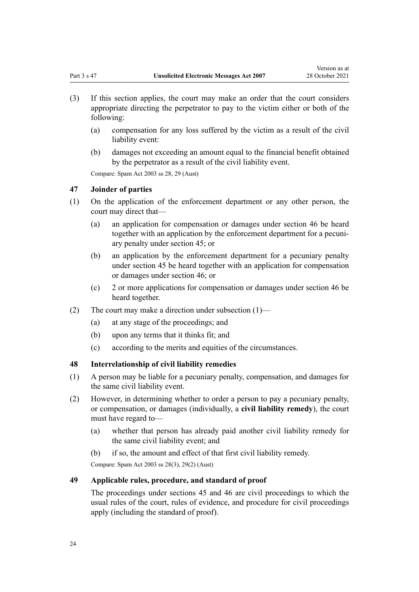- <span id="page-23-0"></span>(3) If this section applies, the court may make an order that the court considers appropriate directing the perpetrator to pay to the victim either or both of the following:
	- (a) compensation for any loss suffered by the victim as a result of the civil liability event:
	- (b) damages not exceeding an amount equal to the financial benefit obtained by the perpetrator as a result of the civil liability event.

Compare: Spam Act 2003 ss 28, 29 (Aust)

# **47 Joinder of parties**

- (1) On the application of the enforcement department or any other person, the court may direct that—
	- (a) an application for compensation or damages under [section 46](#page-22-0) be heard together with an application by the enforcement department for a pecuniary penalty under [section 45;](#page-22-0) or
	- (b) an application by the enforcement department for a pecuniary penalty under [section 45](#page-22-0) be heard together with an application for compensation or damages under [section 46;](#page-22-0) or
	- (c) 2 or more applications for compensation or damages under [section 46](#page-22-0) be heard together.
- (2) The court may make a direction under subsection  $(1)$ 
	- (a) at any stage of the proceedings; and
	- (b) upon any terms that it thinks fit; and
	- (c) according to the merits and equities of the circumstances.

## **48 Interrelationship of civil liability remedies**

- (1) A person may be liable for a pecuniary penalty, compensation, and damages for the same civil liability event.
- (2) However, in determining whether to order a person to pay a pecuniary penalty, or compensation, or damages (individually, a **civil liability remedy**), the court must have regard to—
	- (a) whether that person has already paid another civil liability remedy for the same civil liability event; and
	- (b) if so, the amount and effect of that first civil liability remedy.

Compare: Spam Act 2003 ss 28(3), 29(2) (Aust)

# **49 Applicable rules, procedure, and standard of proof**

The proceedings under [sections 45](#page-22-0) and [46](#page-22-0) are civil proceedings to which the usual rules of the court, rules of evidence, and procedure for civil proceedings apply (including the standard of proof).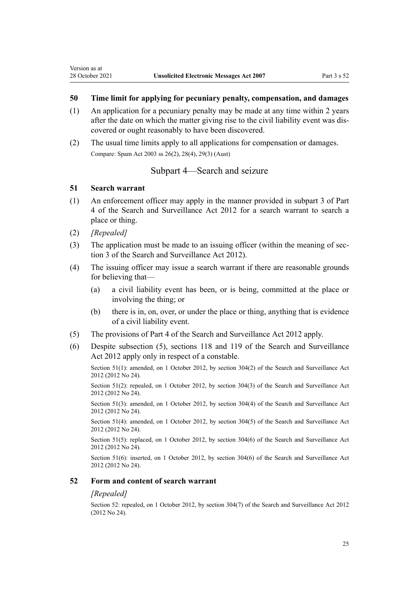# <span id="page-24-0"></span>**50 Time limit for applying for pecuniary penalty, compensation, and damages**

- (1) An application for a pecuniary penalty may be made at any time within 2 years after the date on which the matter giving rise to the civil liability event was dis‐ covered or ought reasonably to have been discovered.
- (2) The usual time limits apply to all applications for compensation or damages. Compare: Spam Act 2003 ss 26(2), 28(4), 29(3) (Aust)

# Subpart 4—Search and seizure

## **51 Search warrant**

- (1) An enforcement officer may apply in the manner provided in [subpart 3](http://legislation.govt.nz/pdflink.aspx?id=DLM2136781) of Part 4 of the Search and Surveillance Act 2012 for a search warrant to search a place or thing.
- (2) *[Repealed]*
- (3) The application must be made to an issuing officer (within the meaning of sec[tion 3](http://legislation.govt.nz/pdflink.aspx?id=DLM2136542) of the Search and Surveillance Act 2012).
- (4) The issuing officer may issue a search warrant if there are reasonable grounds for believing that—
	- (a) a civil liability event has been, or is being, committed at the place or involving the thing; or
	- (b) there is in, on, over, or under the place or thing, anything that is evidence of a civil liability event.
- (5) The provisions of [Part 4](http://legislation.govt.nz/pdflink.aspx?id=DLM2136770) of the Search and Surveillance Act 2012 apply.
- (6) Despite subsection (5), [sections 118](http://legislation.govt.nz/pdflink.aspx?id=DLM2136813) and [119](http://legislation.govt.nz/pdflink.aspx?id=DLM2136815) of the Search and Surveillance Act 2012 apply only in respect of a constable.

Section 51(1): amended, on 1 October 2012, by [section 304\(2\)](http://legislation.govt.nz/pdflink.aspx?id=DLM2137086) of the Search and Surveillance Act 2012 (2012 No 24).

Section 51(2): repealed, on 1 October 2012, by [section 304\(3\)](http://legislation.govt.nz/pdflink.aspx?id=DLM2137086) of the Search and Surveillance Act 2012 (2012 No 24).

Section 51(3): amended, on 1 October 2012, by [section 304\(4\)](http://legislation.govt.nz/pdflink.aspx?id=DLM2137086) of the Search and Surveillance Act 2012 (2012 No 24).

Section 51(4): amended, on 1 October 2012, by [section 304\(5\)](http://legislation.govt.nz/pdflink.aspx?id=DLM2137086) of the Search and Surveillance Act 2012 (2012 No 24).

Section 51(5): replaced, on 1 October 2012, by [section 304\(6\)](http://legislation.govt.nz/pdflink.aspx?id=DLM2137086) of the Search and Surveillance Act 2012 (2012 No 24).

Section 51(6): inserted, on 1 October 2012, by [section 304\(6\)](http://legislation.govt.nz/pdflink.aspx?id=DLM2137086) of the Search and Surveillance Act 2012 (2012 No 24).

#### **52 Form and content of search warrant**

## *[Repealed]*

Section 52: repealed, on 1 October 2012, by [section 304\(7\)](http://legislation.govt.nz/pdflink.aspx?id=DLM2137086) of the Search and Surveillance Act 2012 (2012 No 24).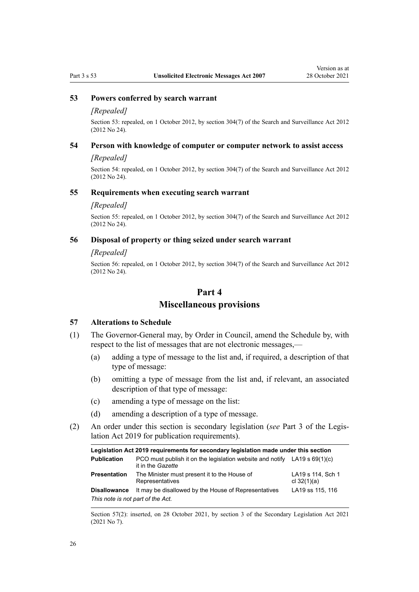#### <span id="page-25-0"></span>**53 Powers conferred by search warrant**

#### *[Repealed]*

Section 53: repealed, on 1 October 2012, by [section 304\(7\)](http://legislation.govt.nz/pdflink.aspx?id=DLM2137086) of the Search and Surveillance Act 2012 (2012 No 24).

# **54 Person with knowledge of computer or computer network to assist access**

#### *[Repealed]*

Section 54: repealed, on 1 October 2012, by [section 304\(7\)](http://legislation.govt.nz/pdflink.aspx?id=DLM2137086) of the Search and Surveillance Act 2012 (2012 No 24).

#### **55 Requirements when executing search warrant**

#### *[Repealed]*

Section 55: repealed, on 1 October 2012, by [section 304\(7\)](http://legislation.govt.nz/pdflink.aspx?id=DLM2137086) of the Search and Surveillance Act 2012 (2012 No 24).

#### **56 Disposal of property or thing seized under search warrant**

#### *[Repealed]*

Section 56: repealed, on 1 October 2012, by [section 304\(7\)](http://legislation.govt.nz/pdflink.aspx?id=DLM2137086) of the Search and Surveillance Act 2012 (2012 No 24).

# **Part 4**

# **Miscellaneous provisions**

#### **57 Alterations to Schedule**

- (1) The Governor-General may, by Order in Council, amend the Schedule by, with respect to the list of messages that are not electronic messages,—
	- (a) adding a type of message to the list and, if required, a description of that type of message:
	- (b) omitting a type of message from the list and, if relevant, an associated description of that type of message:
	- (c) amending a type of message on the list:
	- (d) amending a description of a type of message.
- (2) An order under this section is secondary legislation (*see* [Part 3](http://legislation.govt.nz/pdflink.aspx?id=DLM7298343) of the Legis‐ lation Act 2019 for publication requirements).

| Legislation Act 2019 requirements for secondary legislation made under this section |                                                                                                  |                                    |  |
|-------------------------------------------------------------------------------------|--------------------------------------------------------------------------------------------------|------------------------------------|--|
| <b>Publication</b>                                                                  | PCO must publish it on the legislation website and notify LA19 s $69(1)(c)$<br>it in the Gazette |                                    |  |
| <b>Presentation</b>                                                                 | The Minister must present it to the House of<br>Representatives                                  | LA19 s 114, Sch 1<br>cl $32(1)(a)$ |  |
| <b>Disallowance</b>                                                                 | It may be disallowed by the House of Representatives                                             | LA19 ss 115, 116                   |  |
| This note is not part of the Act.                                                   |                                                                                                  |                                    |  |

Section 57(2): inserted, on 28 October 2021, by [section 3](http://legislation.govt.nz/pdflink.aspx?id=LMS268932) of the Secondary Legislation Act 2021 (2021 No 7).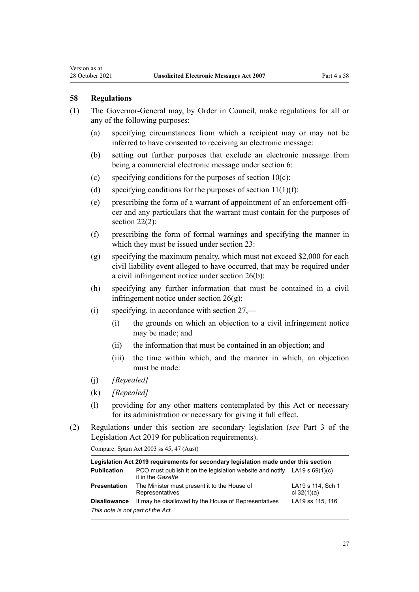<span id="page-26-0"></span>Version as at

- (1) The Governor-General may, by Order in Council, make regulations for all or any of the following purposes:
	- (a) specifying circumstances from which a recipient may or may not be inferred to have consented to receiving an electronic message:
	- (b) setting out further purposes that exclude an electronic message from being a commercial electronic message under [section 6](#page-7-0):
	- (c) specifying conditions for the purposes of section  $10(c)$ :
	- (d) specifying conditions for the purposes of section  $11(1)(f)$ :
	- (e) prescribing the form of a warrant of appointment of an enforcement offi‐ cer and any particulars that the warrant must contain for the purposes of [section 22\(2\):](#page-13-0)
	- (f) prescribing the form of formal warnings and specifying the manner in which they must be issued under [section 23](#page-14-0):
	- (g) specifying the maximum penalty, which must not exceed \$2,000 for each civil liability event alleged to have occurred, that may be required under a civil infringement notice under [section 26\(b\)](#page-15-0):
	- (h) specifying any further information that must be contained in a civil infringement notice under [section 26\(g\):](#page-15-0)
	- (i) specifying, in accordance with [section 27,](#page-15-0)
		- (i) the grounds on which an objection to a civil infringement notice may be made; and
		- (ii) the information that must be contained in an objection; and
		- (iii) the time within which, and the manner in which, an objection must be made:
	- (j) *[Repealed]*
	- (k) *[Repealed]*
	- (l) providing for any other matters contemplated by this Act or necessary for its administration or necessary for giving it full effect.
- (2) Regulations under this section are secondary legislation (*see* [Part 3](http://legislation.govt.nz/pdflink.aspx?id=DLM7298343) of the Legislation Act 2019 for publication requirements).

Compare: Spam Act 2003 ss 45, 47 (Aust)

| Legislation Act 2019 requirements for secondary legislation made under this section |                                                                                                  |                                    |  |
|-------------------------------------------------------------------------------------|--------------------------------------------------------------------------------------------------|------------------------------------|--|
| <b>Publication</b>                                                                  | PCO must publish it on the legislation website and notify LA19 s $69(1)(c)$<br>it in the Gazette |                                    |  |
| <b>Presentation</b>                                                                 | The Minister must present it to the House of<br>Representatives                                  | LA19 s 114, Sch 1<br>cl $32(1)(a)$ |  |
| <b>Disallowance</b>                                                                 | It may be disallowed by the House of Representatives                                             | LA19 ss 115, 116                   |  |
| This note is not part of the Act.                                                   |                                                                                                  |                                    |  |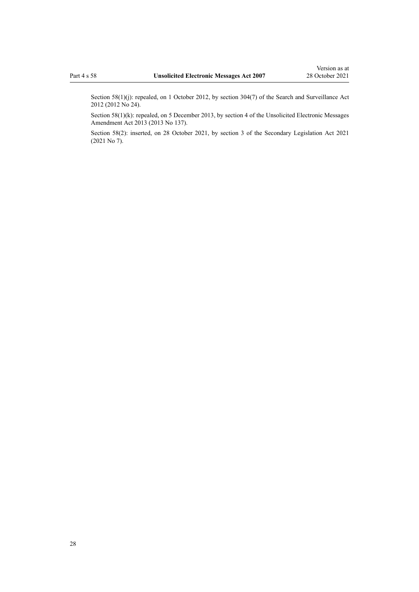Section 58(1)(j): repealed, on 1 October 2012, by [section 304\(7\)](http://legislation.govt.nz/pdflink.aspx?id=DLM2137086) of the Search and Surveillance Act 2012 (2012 No 24).

Section 58(1)(k): repealed, on 5 December 2013, by [section 4](http://legislation.govt.nz/pdflink.aspx?id=DLM5628408) of the Unsolicited Electronic Messages Amendment Act 2013 (2013 No 137).

Section 58(2): inserted, on 28 October 2021, by [section 3](http://legislation.govt.nz/pdflink.aspx?id=LMS268932) of the Secondary Legislation Act 2021 (2021 No 7).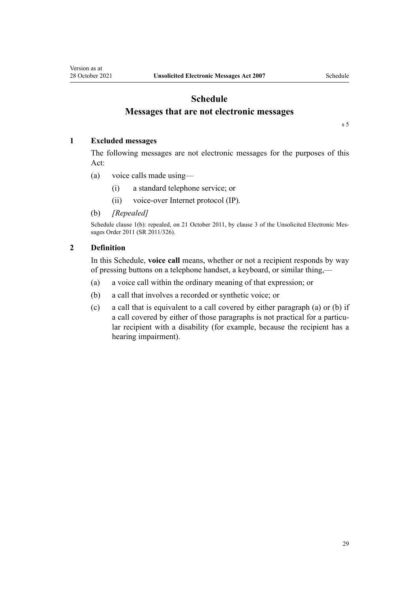# **Schedule Messages that are not electronic messages**

[s 5](#page-7-0)

# <span id="page-28-0"></span>**1 Excluded messages**

The following messages are not electronic messages for the purposes of this Act:

- (a) voice calls made using—
	- (i) a standard telephone service; or
	- (ii) voice-over Internet protocol (IP).
- (b) *[Repealed]*

Schedule clause 1(b): repealed, on 21 October 2011, by [clause 3](http://legislation.govt.nz/pdflink.aspx?id=DLM3996506) of the Unsolicited Electronic Messages Order 2011 (SR 2011/326).

# **2 Definition**

In this Schedule, **voice call** means, whether or not a recipient responds by way of pressing buttons on a telephone handset, a keyboard, or similar thing,—

- (a) a voice call within the ordinary meaning of that expression; or
- (b) a call that involves a recorded or synthetic voice; or
- (c) a call that is equivalent to a call covered by either paragraph (a) or (b) if a call covered by either of those paragraphs is not practical for a particular recipient with a disability (for example, because the recipient has a hearing impairment).